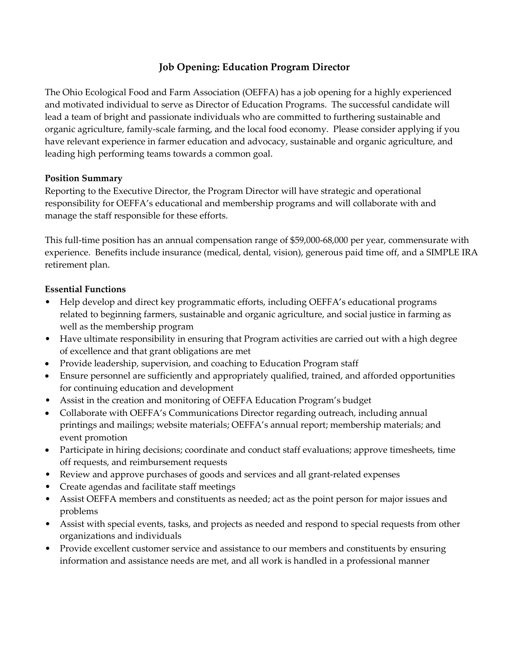# **Job Opening: Education Program Director**

The Ohio Ecological Food and Farm Association (OEFFA) has a job opening for a highly experienced and motivated individual to serve as Director of Education Programs. The successful candidate will lead a team of bright and passionate individuals who are committed to furthering sustainable and organic agriculture, family-scale farming, and the local food economy. Please consider applying if you have relevant experience in farmer education and advocacy, sustainable and organic agriculture, and leading high performing teams towards a common goal.

## **Position Summary**

Reporting to the Executive Director, the Program Director will have strategic and operational responsibility for OEFFA's educational and membership programs and will collaborate with and manage the staff responsible for these efforts.

This full-time position has an annual compensation range of \$59,000-68,000 per year, commensurate with experience. Benefits include insurance (medical, dental, vision), generous paid time off, and a SIMPLE IRA retirement plan.

### **Essential Functions**

- Help develop and direct key programmatic efforts, including OEFFA's educational programs related to beginning farmers, sustainable and organic agriculture, and social justice in farming as well as the membership program
- Have ultimate responsibility in ensuring that Program activities are carried out with a high degree of excellence and that grant obligations are met
- Provide leadership, supervision, and coaching to Education Program staff
- Ensure personnel are sufficiently and appropriately qualified, trained, and afforded opportunities for continuing education and development
- Assist in the creation and monitoring of OEFFA Education Program's budget
- Collaborate with OEFFA's Communications Director regarding outreach, including annual printings and mailings; website materials; OEFFA's annual report; membership materials; and event promotion
- Participate in hiring decisions; coordinate and conduct staff evaluations; approve timesheets, time off requests, and reimbursement requests
- Review and approve purchases of goods and services and all grant-related expenses
- Create agendas and facilitate staff meetings
- Assist OEFFA members and constituents as needed; act as the point person for major issues and problems
- Assist with special events, tasks, and projects as needed and respond to special requests from other organizations and individuals
- Provide excellent customer service and assistance to our members and constituents by ensuring information and assistance needs are met, and all work is handled in a professional manner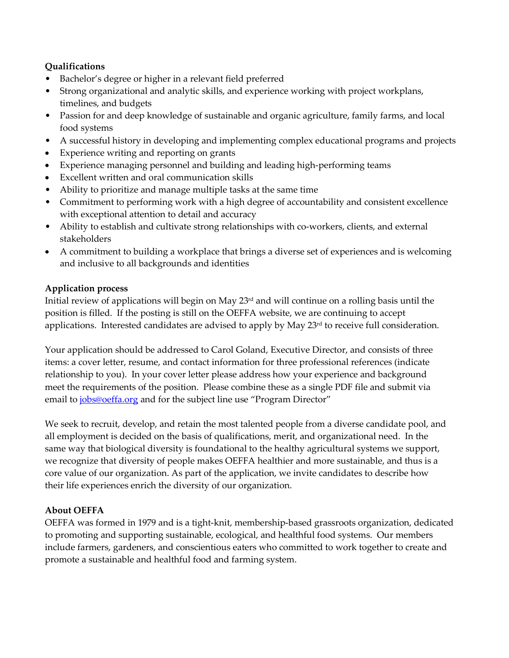# **Qualifications**

- Bachelor's degree or higher in a relevant field preferred
- Strong organizational and analytic skills, and experience working with project workplans, timelines, and budgets
- Passion for and deep knowledge of sustainable and organic agriculture, family farms, and local food systems
- A successful history in developing and implementing complex educational programs and projects
- Experience writing and reporting on grants
- Experience managing personnel and building and leading high-performing teams
- Excellent written and oral communication skills
- Ability to prioritize and manage multiple tasks at the same time
- Commitment to performing work with a high degree of accountability and consistent excellence with exceptional attention to detail and accuracy
- Ability to establish and cultivate strong relationships with co-workers, clients, and external stakeholders
- A commitment to building a workplace that brings a diverse set of experiences and is welcoming and inclusive to all backgrounds and identities

### **Application process**

Initial review of applications will begin on May 23rd and will continue on a rolling basis until the position is filled. If the posting is still on the OEFFA website, we are continuing to accept applications. Interested candidates are advised to apply by May 23<sup>rd</sup> to receive full consideration.

Your application should be addressed to Carol Goland, Executive Director, and consists of three items: a cover letter, resume, and contact information for three professional references (indicate relationship to you). In your cover letter please address how your experience and background meet the requirements of the position. Please combine these as a single PDF file and submit via email to [jobs@oeffa.org](mailto:jobs@oeffa.org) and for the subject line use "Program Director"

We seek to recruit, develop, and retain the most talented people from a diverse candidate pool, and all employment is decided on the basis of qualifications, merit, and organizational need. In the same way that biological diversity is foundational to the healthy agricultural systems we support, we recognize that diversity of people makes OEFFA healthier and more sustainable, and thus is a core value of our organization. As part of the application, we invite candidates to describe how their life experiences enrich the diversity of our organization.

## **About OEFFA**

OEFFA was formed in 1979 and is a tight-knit, membership-based grassroots organization, dedicated to promoting and supporting sustainable, ecological, and healthful food systems. Our members include farmers, gardeners, and conscientious eaters who committed to work together to create and promote a sustainable and healthful food and farming system.